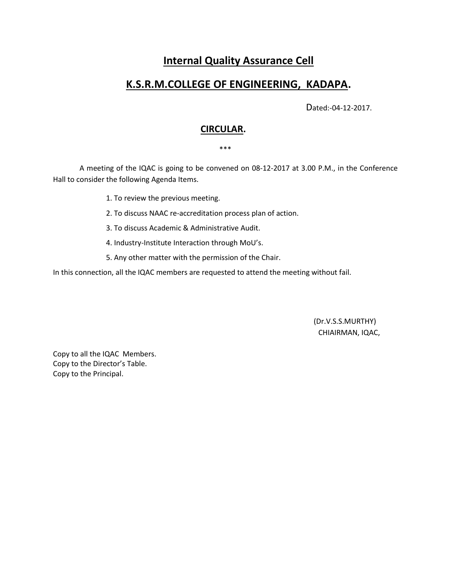# **Internal Quality Assurance Cell**

## **K.S.R.M.COLLEGE OF ENGINEERING, KADAPA.**

Dated:-04-12-2017.

## **CIRCULAR.**

\*\*\*

 A meeting of the IQAC is going to be convened on 08-12-2017 at 3.00 P.M., in the Conference Hall to consider the following Agenda Items.

1. To review the previous meeting.

2. To discuss NAAC re-accreditation process plan of action.

3. To discuss Academic & Administrative Audit.

4. Industry-Institute Interaction through MoU's.

5. Any other matter with the permission of the Chair.

In this connection, all the IQAC members are requested to attend the meeting without fail.

 (Dr.V.S.S.MURTHY) CHIAIRMAN, IQAC,

Copy to all the IQAC Members. Copy to the Director's Table. Copy to the Principal.